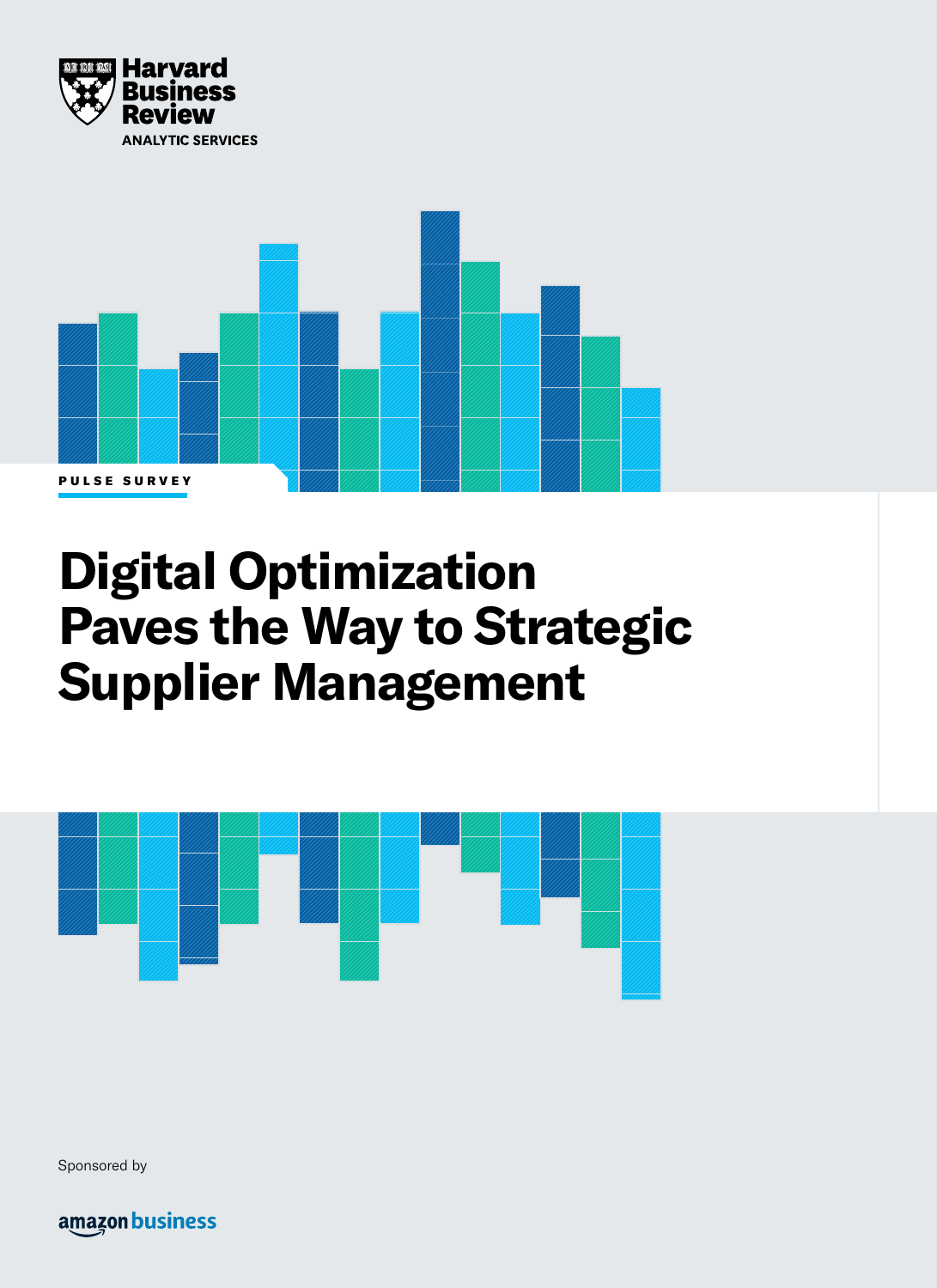



# **Digital Optimization Paves the Way to Strategic Supplier Management**



Sponsored by

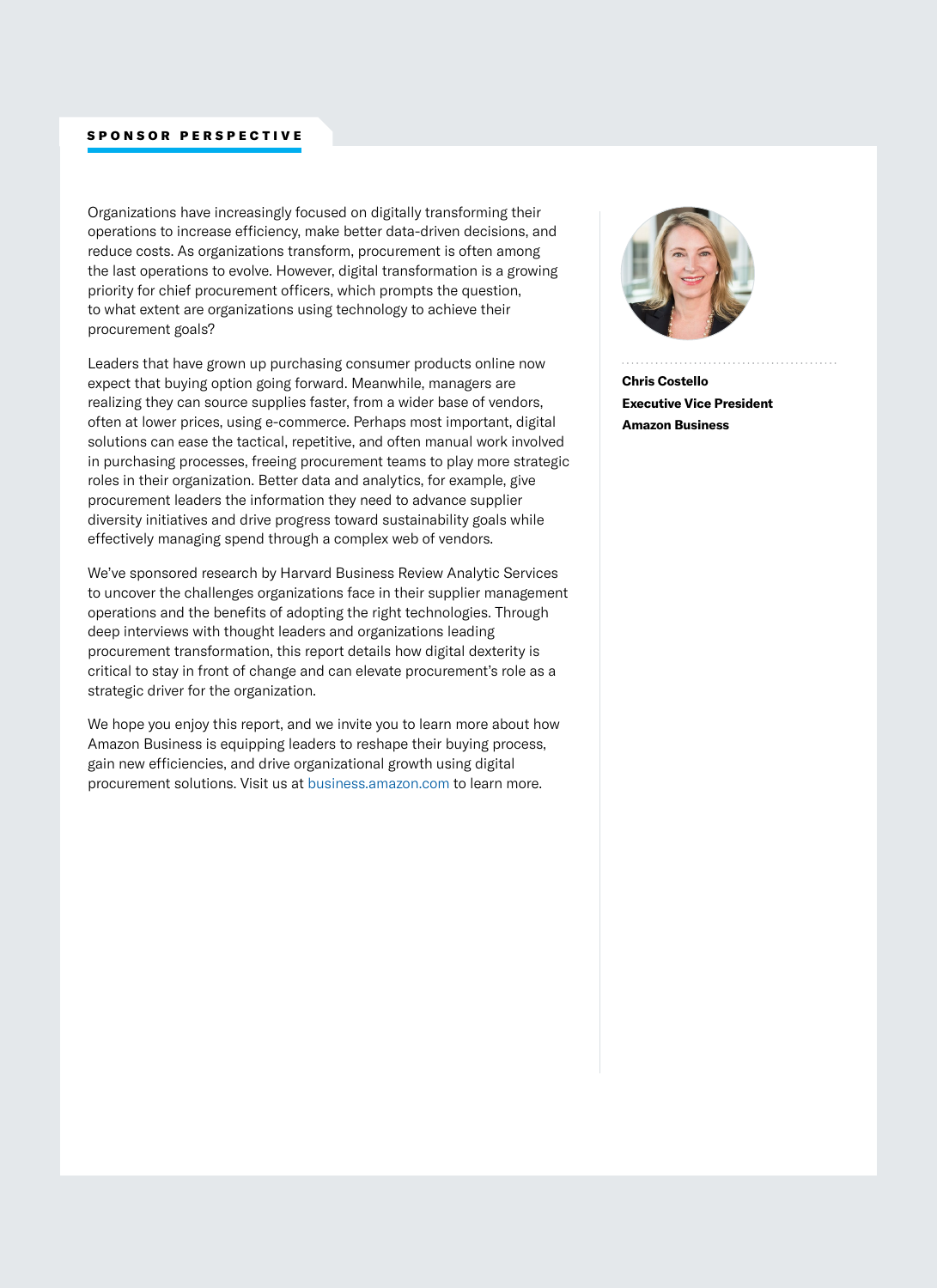# SPONSOR PERSPECTIVE

Organizations have increasingly focused on digitally transforming their operations to increase efficiency, make better data-driven decisions, and reduce costs. As organizations transform, procurement is often among the last operations to evolve. However, digital transformation is a growing priority for chief procurement officers, which prompts the question, to what extent are organizations using technology to achieve their procurement goals?

Leaders that have grown up purchasing consumer products online now expect that buying option going forward. Meanwhile, managers are realizing they can source supplies faster, from a wider base of vendors, often at lower prices, using e-commerce. Perhaps most important, digital solutions can ease the tactical, repetitive, and often manual work involved in purchasing processes, freeing procurement teams to play more strategic roles in their organization. Better data and analytics, for example, give procurement leaders the information they need to advance supplier diversity initiatives and drive progress toward sustainability goals while effectively managing spend through a complex web of vendors.

We've sponsored research by Harvard Business Review Analytic Services to uncover the challenges organizations face in their supplier management operations and the benefits of adopting the right technologies. Through deep interviews with thought leaders and organizations leading procurement transformation, this report details how digital dexterity is critical to stay in front of change and can elevate procurement's role as a strategic driver for the organization.

We hope you enjoy this report, and we invite you to learn more about how Amazon Business is equipping leaders to reshape their buying process, gain new efficiencies, and drive organizational growth using digital procurement solutions. Visit us at [business.amazon.com](https://business.amazon.com/?ref_=b2b_brand_op_hbr_digitaloptimization_1021) to learn more.



**Chris Costello Executive Vice President Amazon Business**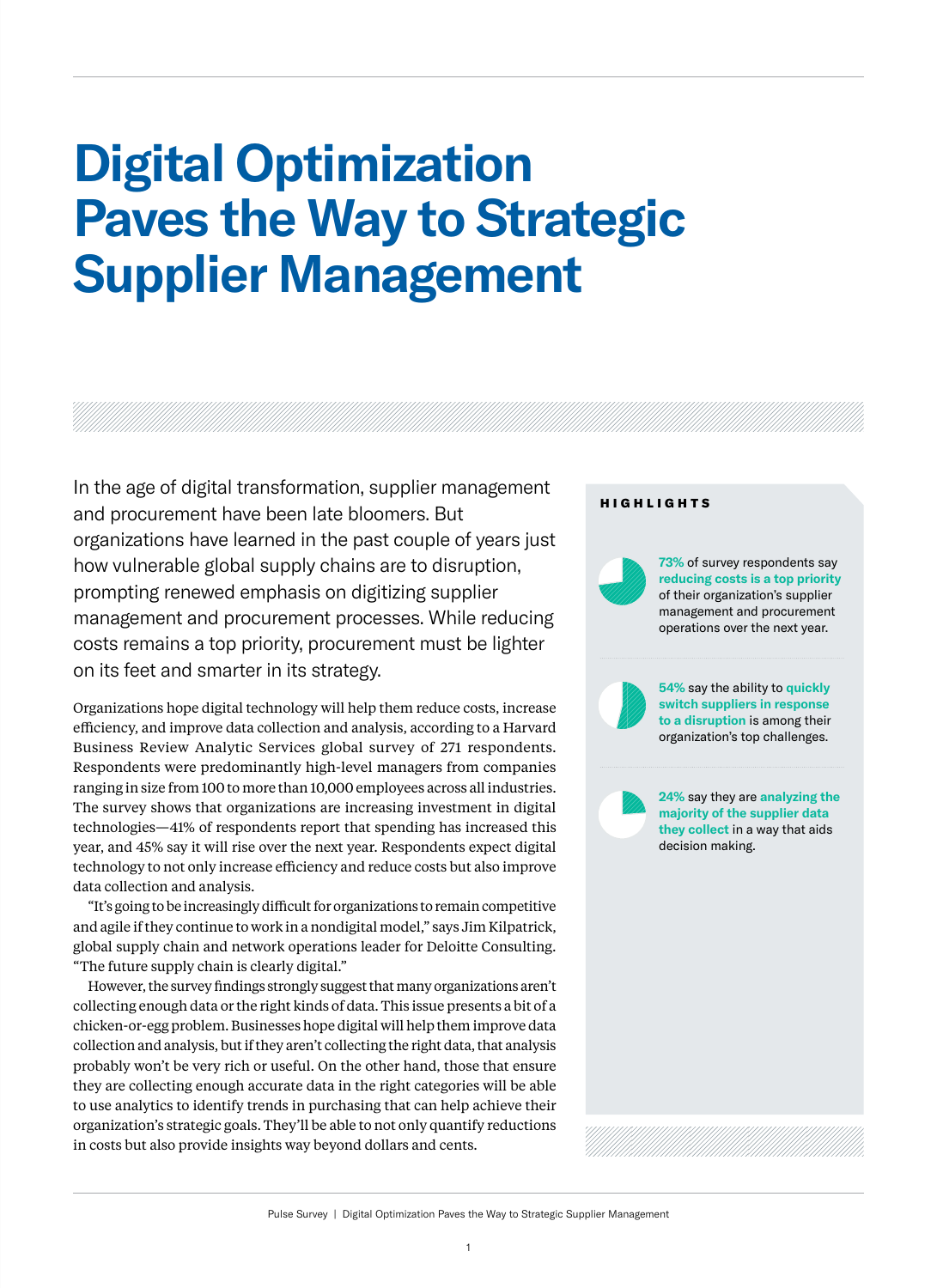# **Digital Optimization Paves the Way to Strategic Supplier Management**

In the age of digital transformation, supplier management and procurement have been late bloomers. But organizations have learned in the past couple of years just how vulnerable global supply chains are to disruption, prompting renewed emphasis on digitizing supplier management and procurement processes. While reducing costs remains a top priority, procurement must be lighter on its feet and smarter in its strategy.

Organizations hope digital technology will help them reduce costs, increase efficiency, and improve data collection and analysis, according to a Harvard Business Review Analytic Services global survey of 271 respondents. Respondents were predominantly high-level managers from companies ranging in size from 100 to more than 10,000 employees across all industries. The survey shows that organizations are increasing investment in digital technologies—41% of respondents report that spending has increased this year, and 45% say it will rise over the next year. Respondents expect digital technology to not only increase efficiency and reduce costs but also improve data collection and analysis.

"It's going to be increasingly difficult for organizations to remain competitive and agile if they continue to work in a nondigital model," says Jim Kilpatrick, global supply chain and network operations leader for Deloitte Consulting. "The future supply chain is clearly digital."

However, the survey findings strongly suggest that many organizations aren't collecting enough data or the right kinds of data. This issue presents a bit of a chicken-or-egg problem. Businesses hope digital will help them improve data collection and analysis, but if they aren't collecting the right data, that analysis probably won't be very rich or useful. On the other hand, those that ensure they are collecting enough accurate data in the right categories will be able to use analytics to identify trends in purchasing that can help achieve their organization's strategic goals. They'll be able to not only quantify reductions in costs but also provide insights way beyond dollars and cents.

#### HIGHLIGHTS

**73%** of survey respondents say **reducing costs is a top priority**  of their organization's supplier management and procurement operations over the next year.

**54%** say the ability to **quickly switch suppliers in response to a disruption** is among their organization's top challenges.

**24%** say they are **analyzing the majority of the supplier data they collect** in a way that aids decision making.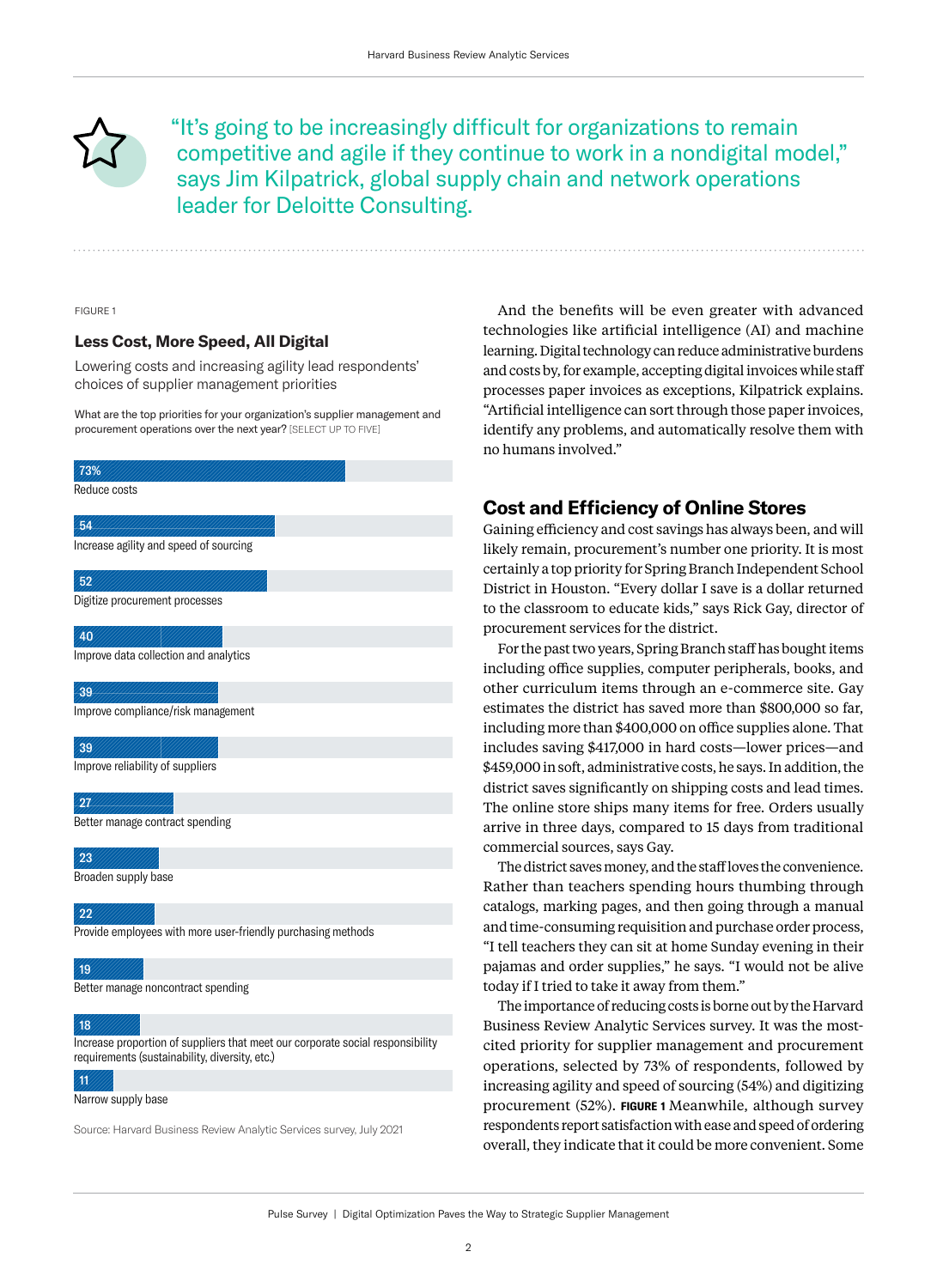

"It's going to be increasingly difficult for organizations to remain competitive and agile if they continue to work in a nondigital model," says Jim Kilpatrick, global supply chain and network operations leader for Deloitte Consulting.

FIGURE 1

## **Less Cost, More Speed, All Digital**

Lowering costs and increasing agility lead respondents' choices of supplier management priorities

What are the top priorities for your organization's supplier management and procurement operations over the next year? [SELECT UP TO FIVE]

# Reduce costs Increase agility and speed of sourcing Digitize procurement processes Improve data collection and analytics Improve compliance/risk management Improve reliability of suppliers Better manage contract spending Broaden supply base Provide employees with more user-friendly purchasing methods Better manage noncontract spending Increase proportion of suppliers that meet our corporate social responsibility 73% 54 52 40  $39$ 39  $27$ 23  $22$ 19 18

requirements (sustainability, diversity, etc.)

#### 11

Narrow supply base

Source: Harvard Business Review Analytic Services survey, July 2021

And the benefits will be even greater with advanced technologies like artificial intelligence (AI) and machine learning. Digital technology can reduce administrative burdens and costs by, for example, accepting digital invoices while staff processes paper invoices as exceptions, Kilpatrick explains. "Artificial intelligence can sort through those paper invoices, identify any problems, and automatically resolve them with no humans involved."

# **Cost and Efficiency of Online Stores**

Gaining efficiency and cost savings has always been, and will likely remain, procurement's number one priority. It is most certainly a top priority for Spring Branch Independent School District in Houston. "Every dollar I save is a dollar returned to the classroom to educate kids," says Rick Gay, director of procurement services for the district.

For the past two years, Spring Branch staff has bought items including office supplies, computer peripherals, books, and other curriculum items through an e-commerce site. Gay estimates the district has saved more than \$800,000 so far, including more than \$400,000 on office supplies alone. That includes saving \$417,000 in hard costs—lower prices—and \$459,000 in soft, administrative costs, he says. In addition, the district saves significantly on shipping costs and lead times. The online store ships many items for free. Orders usually arrive in three days, compared to 15 days from traditional commercial sources, says Gay.

The district saves money, and the staff loves the convenience. Rather than teachers spending hours thumbing through catalogs, marking pages, and then going through a manual and time-consuming requisition and purchase order process, "I tell teachers they can sit at home Sunday evening in their pajamas and order supplies," he says. "I would not be alive today if I tried to take it away from them."

The importance of reducing costs is borne out by the Harvard Business Review Analytic Services survey. It was the mostcited priority for supplier management and procurement operations, selected by 73% of respondents, followed by increasing agility and speed of sourcing (54%) and digitizing procurement (52%). **FIGURE 1** Meanwhile, although survey respondents report satisfaction with ease and speed of ordering overall, they indicate that it could be more convenient. Some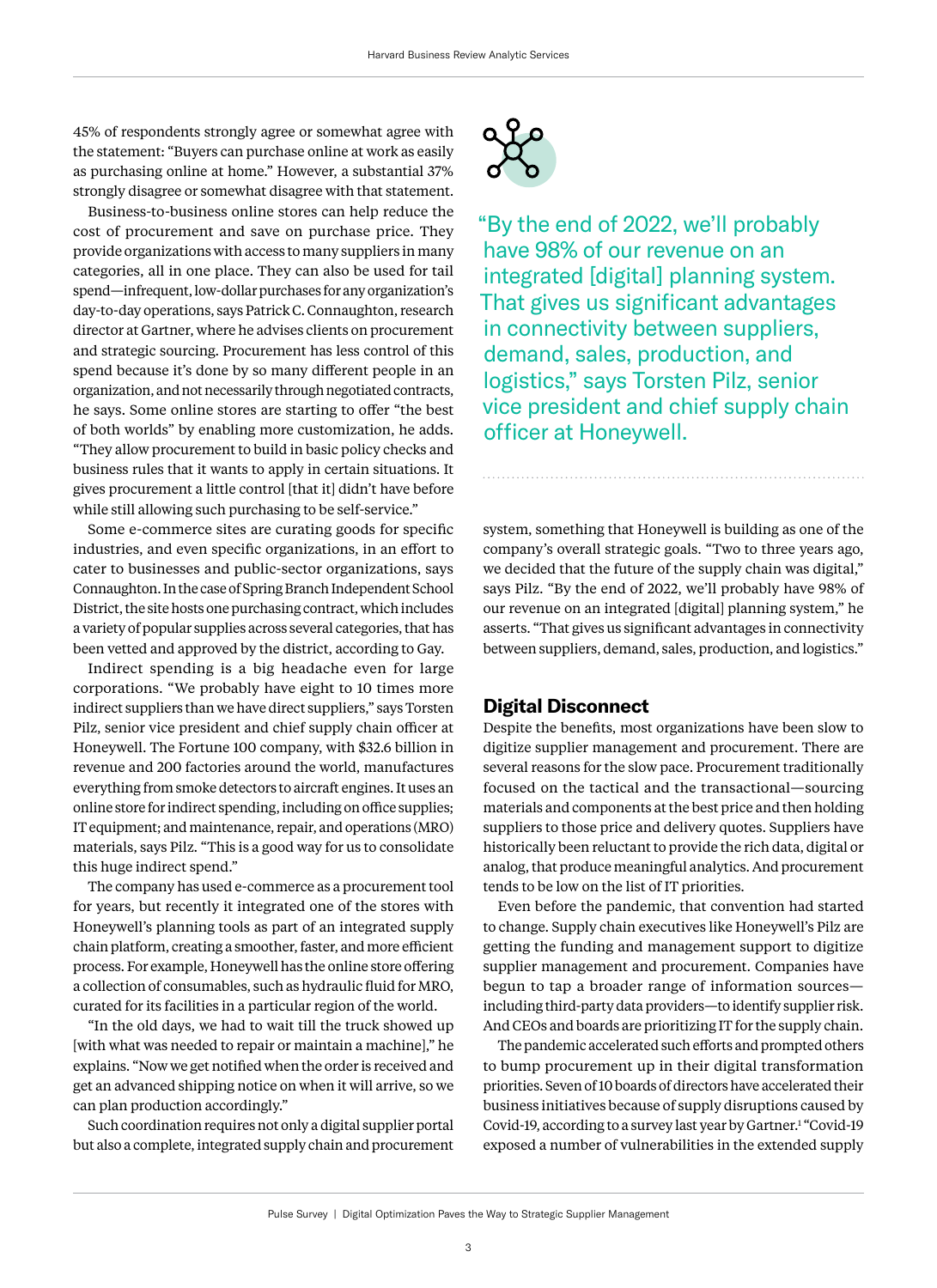<span id="page-4-0"></span>45% of respondents strongly agree or somewhat agree with the statement: "Buyers can purchase online at work as easily as purchasing online at home." However, a substantial 37% strongly disagree or somewhat disagree with that statement.

Business-to-business online stores can help reduce the cost of procurement and save on purchase price. They provide organizations with access to many suppliers in many categories, all in one place. They can also be used for tail spend—infrequent, low-dollar purchases for any organization's day-to-day operations, says Patrick C. Connaughton, research director at Gartner, where he advises clients on procurement and strategic sourcing. Procurement has less control of this spend because it's done by so many different people in an organization, and not necessarily through negotiated contracts, he says. Some online stores are starting to offer "the best of both worlds" by enabling more customization, he adds. "They allow procurement to build in basic policy checks and business rules that it wants to apply in certain situations. It gives procurement a little control [that it] didn't have before while still allowing such purchasing to be self-service."

Some e-commerce sites are curating goods for specific industries, and even specific organizations, in an effort to cater to businesses and public-sector organizations, says Connaughton. In the case of Spring Branch Independent School District, the site hosts one purchasing contract, which includes a variety of popular supplies across several categories, that has been vetted and approved by the district, according to Gay.

Indirect spending is a big headache even for large corporations. "We probably have eight to 10 times more indirect suppliers than we have direct suppliers," says Torsten Pilz, senior vice president and chief supply chain officer at Honeywell. The Fortune 100 company, with \$32.6 billion in revenue and 200 factories around the world, manufactures everything from smoke detectors to aircraft engines. It uses an online store for indirect spending, including on office supplies; IT equipment; and maintenance, repair, and operations (MRO) materials, says Pilz. "This is a good way for us to consolidate this huge indirect spend."

The company has used e-commerce as a procurement tool for years, but recently it integrated one of the stores with Honeywell's planning tools as part of an integrated supply chain platform, creating a smoother, faster, and more efficient process. For example, Honeywell has the online store offering a collection of consumables, such as hydraulic fluid for MRO, curated for its facilities in a particular region of the world.

"In the old days, we had to wait till the truck showed up [with what was needed to repair or maintain a machine]," he explains. "Now we get notified when the order is received and get an advanced shipping notice on when it will arrive, so we can plan production accordingly."

Such coordination requires not only a digital supplier portal but also a complete, integrated supply chain and procurement



"By the end of 2022, we'll probably have 98% of our revenue on an integrated [digital] planning system. That gives us significant advantages in connectivity between suppliers, demand, sales, production, and logistics," says Torsten Pilz, senior vice president and chief supply chain officer at Honeywell.

system, something that Honeywell is building as one of the company's overall strategic goals. "Two to three years ago, we decided that the future of the supply chain was digital," says Pilz. "By the end of 2022, we'll probably have 98% of our revenue on an integrated [digital] planning system," he asserts. "That gives us significant advantages in connectivity between suppliers, demand, sales, production, and logistics."

# **Digital Disconnect**

Despite the benefits, most organizations have been slow to digitize supplier management and procurement. There are several reasons for the slow pace. Procurement traditionally focused on the tactical and the transactional—sourcing materials and components at the best price and then holding suppliers to those price and delivery quotes. Suppliers have historically been reluctant to provide the rich data, digital or analog, that produce meaningful analytics. And procurement tends to be low on the list of IT priorities.

Even before the pandemic, that convention had started to change. Supply chain executives like Honeywell's Pilz are getting the funding and management support to digitize supplier management and procurement. Companies have begun to tap a broader range of information sources including third-party data providers—to identify supplier risk. And CEOs and boards are prioritizing IT for the supply chain.

The pandemic accelerated such efforts and prompted others to bump procurement up in their digital transformation priorities. Seven of 10 boards of directors have accelerated their business initiatives because of supply disruptions caused by Covid-19, according to a survey last year by Gartner.[1](#page-9-0) "Covid-19 exposed a number of vulnerabilities in the extended supply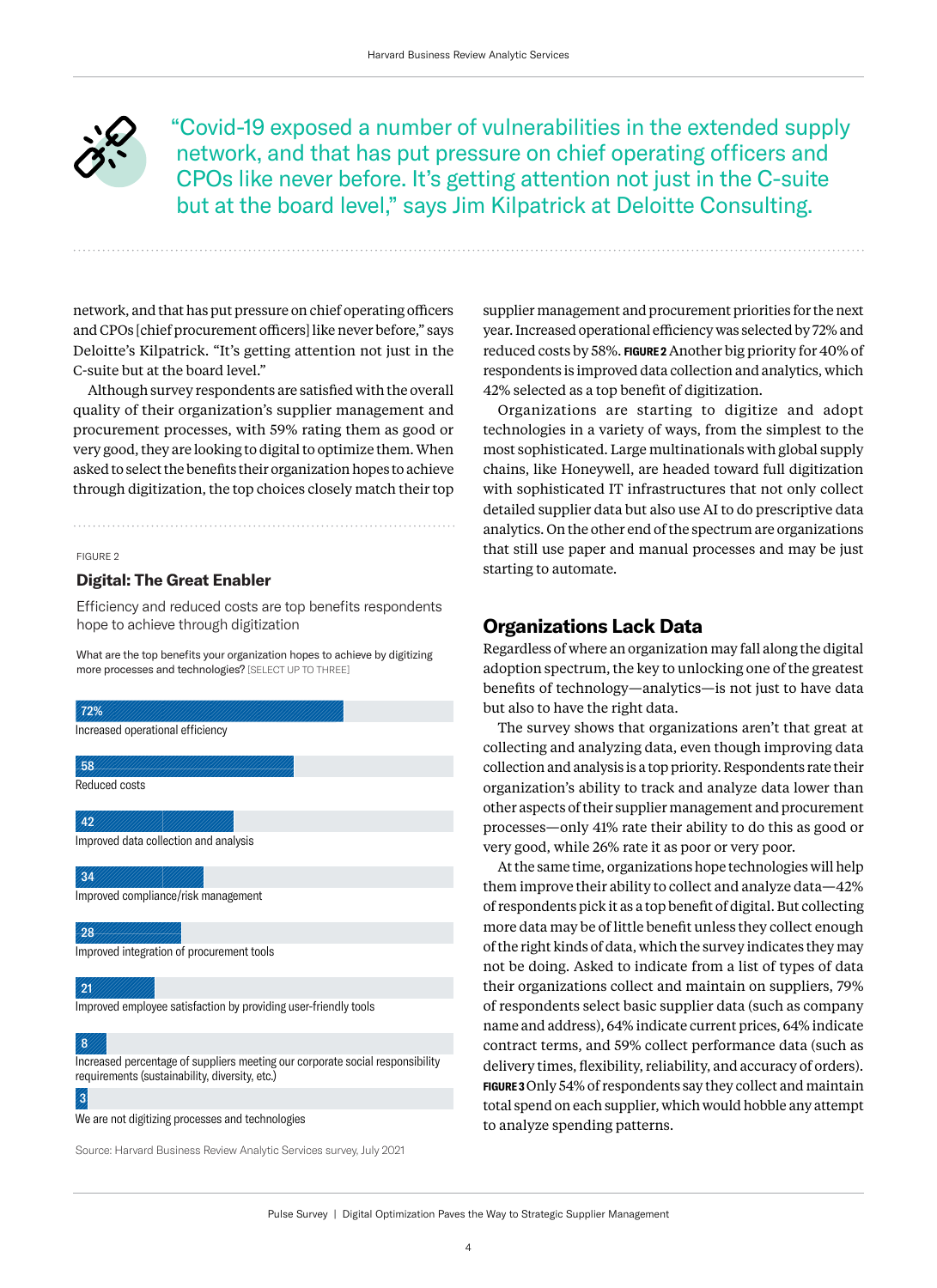"Covid-19 exposed a number of vulnerabilities in the extended supply network, and that has put pressure on chief operating officers and CPOs like never before. It's getting attention not just in the C-suite but at the board level," says Jim Kilpatrick at Deloitte Consulting.

network, and that has put pressure on chief operating officers and CPOs [chief procurement officers] like never before," says Deloitte's Kilpatrick. "It's getting attention not just in the C-suite but at the board level."

Although survey respondents are satisfied with the overall quality of their organization's supplier management and procurement processes, with 59% rating them as good or very good, they are looking to digital to optimize them. When asked to select the benefits their organization hopes to achieve through digitization, the top choices closely match their top

#### FIGURE 2

#### **Digital: The Great Enabler**

Efficiency and reduced costs are top benefits respondents hope to achieve through digitization

What are the top benefits your organization hopes to achieve by digitizing more processes and technologies? [SELECT UP TO THREE]

| 72%                                                                                                                             |
|---------------------------------------------------------------------------------------------------------------------------------|
| Increased operational efficiency                                                                                                |
| 58                                                                                                                              |
| Reduced costs                                                                                                                   |
| 42                                                                                                                              |
| Improved data collection and analysis                                                                                           |
| 34                                                                                                                              |
| Improved compliance/risk management                                                                                             |
| 28                                                                                                                              |
| Improved integration of procurement tools                                                                                       |
| 21                                                                                                                              |
| Improved employee satisfaction by providing user-friendly tools                                                                 |
| 8                                                                                                                               |
| Increased percentage of suppliers meeting our corporate social responsibility<br>requirements (sustainability, diversity, etc.) |
| 3                                                                                                                               |

We are not digitizing processes and technologies

Source: Harvard Business Review Analytic Services survey, July 2021

supplier management and procurement priorities for the next year. Increased operational efficiency was selected by 72% and reduced costs by 58%. **FIGURE 2** Another big priority for 40% of respondents is improved data collection and analytics, which 42% selected as a top benefit of digitization.

Organizations are starting to digitize and adopt technologies in a variety of ways, from the simplest to the most sophisticated. Large multinationals with global supply chains, like Honeywell, are headed toward full digitization with sophisticated IT infrastructures that not only collect detailed supplier data but also use AI to do prescriptive data analytics. On the other end of the spectrum are organizations that still use paper and manual processes and may be just starting to automate.

# **Organizations Lack Data**

Regardless of where an organization may fall along the digital adoption spectrum, the key to unlocking one of the greatest benefits of technology—analytics—is not just to have data but also to have the right data.

The survey shows that organizations aren't that great at collecting and analyzing data, even though improving data collection and analysis is a top priority. Respondents rate their organization's ability to track and analyze data lower than other aspects of their supplier management and procurement processes—only 41% rate their ability to do this as good or very good, while 26% rate it as poor or very poor.

At the same time, organizations hope technologies will help them improve their ability to collect and analyze data—42% of respondents pick it as a top benefit of digital. But collecting more data may be of little benefit unless they collect enough of the right kinds of data, which the survey indicates they may not be doing. Asked to indicate from a list of types of data their organizations collect and maintain on suppliers, 79% of respondents select basic supplier data (such as company name and address), 64% indicate current prices, 64% indicate contract terms, and 59% collect performance data (such as delivery times, flexibility, reliability, and accuracy of orders). **FIGURE 3** Only 54% of respondents say they collect and maintain total spend on each supplier, which would hobble any attempt to analyze spending patterns.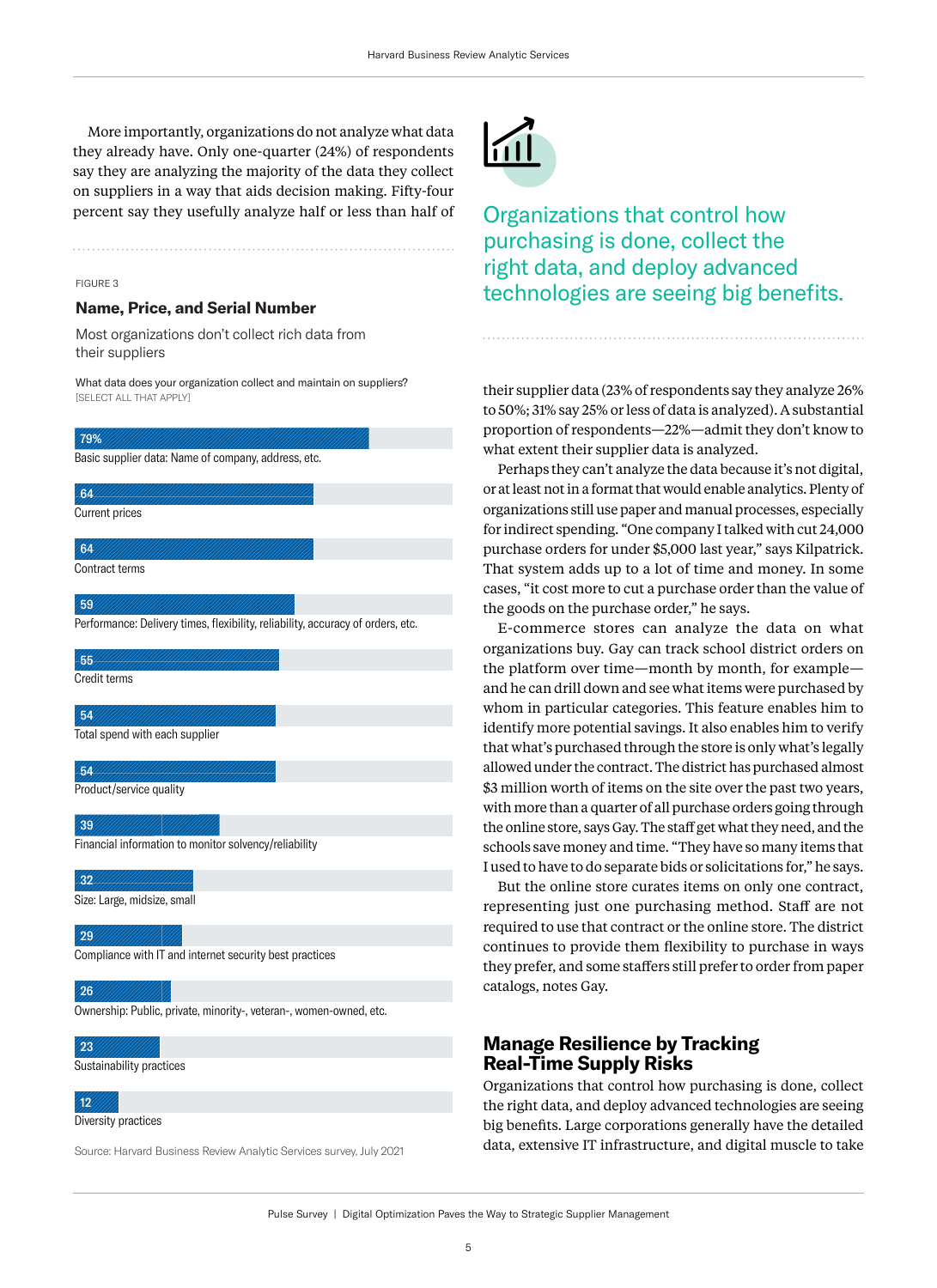More importantly, organizations do not analyze what data they already have. Only one-quarter (24%) of respondents say they are analyzing the majority of the data they collect on suppliers in a way that aids decision making. Fifty-four percent say they usefully analyze half or less than half of

#### FIGURE 3

#### **Name, Price, and Serial Number**

Most organizations don't collect rich data from their suppliers

What data does your organization collect and maintain on suppliers? [SELECT ALL THAT APPLY]

| 79%                                                                             |
|---------------------------------------------------------------------------------|
| Basic supplier data: Name of company, address, etc.                             |
| 64                                                                              |
| <b>Current prices</b>                                                           |
|                                                                                 |
| 64                                                                              |
| Contract terms                                                                  |
| 59                                                                              |
|                                                                                 |
| Performance: Delivery times, flexibility, reliability, accuracy of orders, etc. |
| 55                                                                              |
| Credit terms                                                                    |
|                                                                                 |
| 54                                                                              |
| Total spend with each supplier                                                  |
| 54                                                                              |
| Product/service quality                                                         |
|                                                                                 |
| 39                                                                              |
| Financial information to monitor solvency/reliability                           |
|                                                                                 |
| 32                                                                              |
| Size: Large, midsize, small                                                     |
| 29                                                                              |

Compliance with IT and internet security best practices

#### 26

Ownership: Public, private, minority-, veteran-, women-owned, etc.

## 23

Sustainability practices

# 12

Diversity practices

Source: Harvard Business Review Analytic Services survey, July 2021



Organizations that control how purchasing is done, collect the right data, and deploy advanced technologies are seeing big benefits.

their supplier data (23% of respondents say they analyze 26% to 50%; 31% say 25% or less of data is analyzed). A substantial proportion of respondents—22%—admit they don't know to what extent their supplier data is analyzed.

Perhaps they can't analyze the data because it's not digital, or at least not in a format that would enable analytics. Plenty of organizations still use paper and manual processes, especially for indirect spending. "One company I talked with cut 24,000 purchase orders for under \$5,000 last year," says Kilpatrick. That system adds up to a lot of time and money. In some cases, "it cost more to cut a purchase order than the value of the goods on the purchase order," he says.

E-commerce stores can analyze the data on what organizations buy. Gay can track school district orders on the platform over time—month by month, for example and he can drill down and see what items were purchased by whom in particular categories. This feature enables him to identify more potential savings. It also enables him to verify that what's purchased through the store is only what's legally allowed under the contract. The district has purchased almost \$3 million worth of items on the site over the past two years, with more than a quarter of all purchase orders going through the online store, says Gay. The staff get what they need, and the schools save money and time. "They have so many items that I used to have to do separate bids or solicitations for," he says.

But the online store curates items on only one contract, representing just one purchasing method. Staff are not required to use that contract or the online store. The district continues to provide them flexibility to purchase in ways they prefer, and some staffers still prefer to order from paper catalogs, notes Gay.

# **Manage Resilience by Tracking Real-Time Supply Risks**

Organizations that control how purchasing is done, collect the right data, and deploy advanced technologies are seeing big benefits. Large corporations generally have the detailed data, extensive IT infrastructure, and digital muscle to take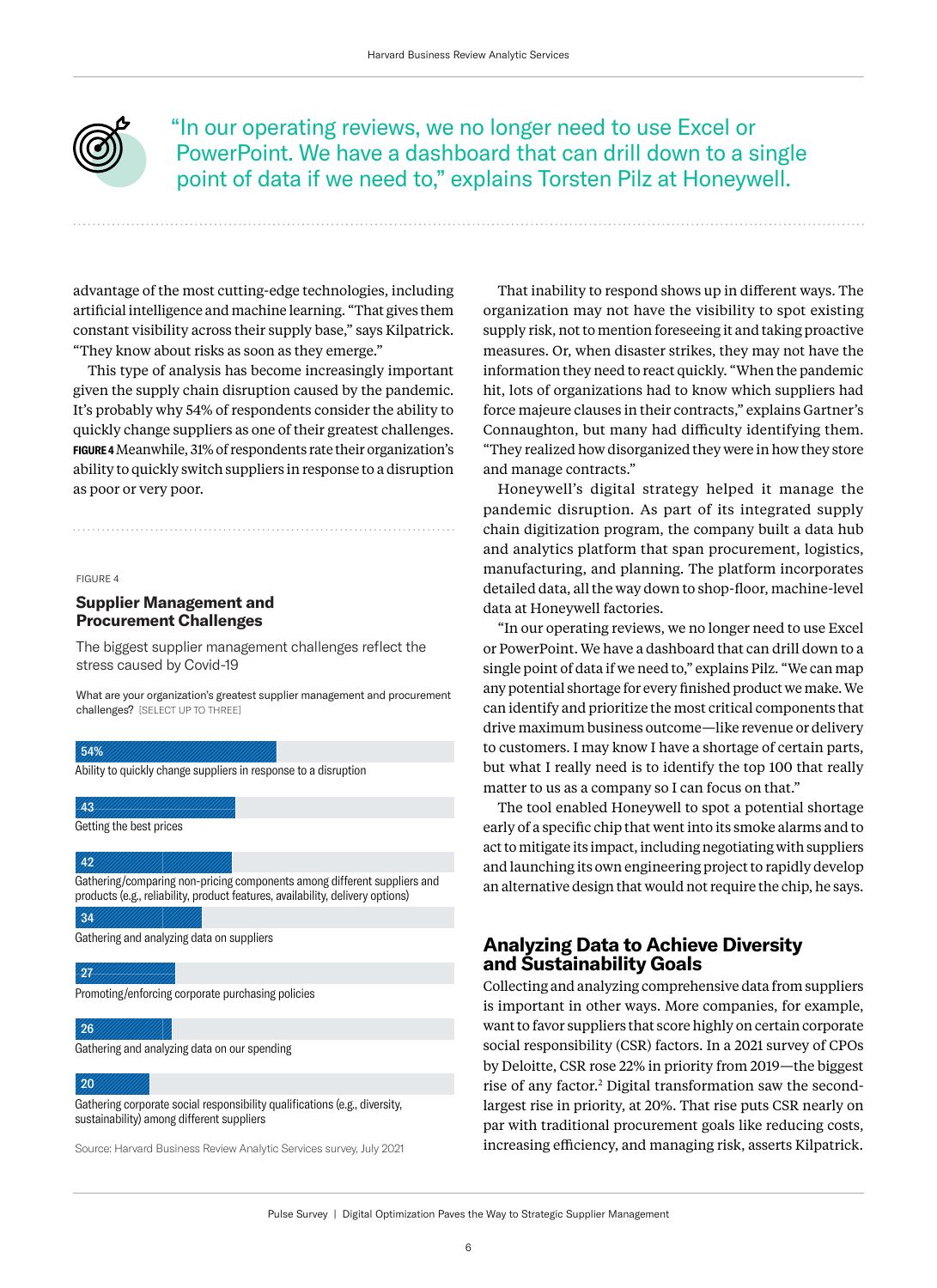<span id="page-7-0"></span>

"In our operating reviews, we no longer need to use Excel or PowerPoint. We have a dashboard that can drill down to a single point of data if we need to," explains Torsten Pilz at Honeywell.

advantage of the most cutting-edge technologies, including artificial intelligence and machine learning. "That gives them constant visibility across their supply base," says Kilpatrick. "They know about risks as soon as they emerge."

This type of analysis has become increasingly important given the supply chain disruption caused by the pandemic. It's probably why 54% of respondents consider the ability to quickly change suppliers as one of their greatest challenges. **FIGURE 4** Meanwhile, 31% of respondents rate their organization's ability to quickly switch suppliers in response to a disruption as poor or very poor.

FIGURE 4

# **Supplier Management and Procurement Challenges**

The biggest supplier management challenges reflect the stress caused by Covid-19

What are your organization's greatest supplier management and procurement challenges? [SELECT UP TO THREE]

### 54%

Ability to quickly change suppliers in response to a disruption

43

Getting the best prices

#### 42

Gathering/comparing non-pricing components among different suppliers and products (e.g., reliability, product features, availability, delivery options) 34

Gathering and analyzing data on suppliers

#### 27

Promoting/enforcing corporate purchasing policies

26

Gathering and analyzing data on our spending

#### 20

Gathering corporate social responsibility qualifications (e.g., diversity, sustainability) among different suppliers

Source: Harvard Business Review Analytic Services survey, July 2021

That inability to respond shows up in different ways. The organization may not have the visibility to spot existing supply risk, not to mention foreseeing it and taking proactive measures. Or, when disaster strikes, they may not have the information they need to react quickly. "When the pandemic hit, lots of organizations had to know which suppliers had force majeure clauses in their contracts," explains Gartner's Connaughton, but many had difficulty identifying them. "They realized how disorganized they were in how they store and manage contracts."

Honeywell's digital strategy helped it manage the pandemic disruption. As part of its integrated supply chain digitization program, the company built a data hub and analytics platform that span procurement, logistics, manufacturing, and planning. The platform incorporates detailed data, all the way down to shop-floor, machine-level data at Honeywell factories.

"In our operating reviews, we no longer need to use Excel or PowerPoint. We have a dashboard that can drill down to a single point of data if we need to," explains Pilz. "We can map any potential shortage for every finished product we make. We can identify and prioritize the most critical components that drive maximum business outcome—like revenue or delivery to customers. I may know I have a shortage of certain parts, but what I really need is to identify the top 100 that really matter to us as a company so I can focus on that."

The tool enabled Honeywell to spot a potential shortage early of a specific chip that went into its smoke alarms and to act to mitigate its impact, including negotiating with suppliers and launching its own engineering project to rapidly develop an alternative design that would not require the chip, he says.

# **Analyzing Data to Achieve Diversity and Sustainability Goals**

Collecting and analyzing comprehensive data from suppliers is important in other ways. More companies, for example, want to favor suppliers that score highly on certain corporate social responsibility (CSR) factors. In a 2021 survey of CPOs by Deloitte, CSR rose 22% in priority from 2019—the biggest rise of any factor.[2](#page-9-0) Digital transformation saw the secondlargest rise in priority, at 20%. That rise puts CSR nearly on par with traditional procurement goals like reducing costs, increasing efficiency, and managing risk, asserts Kilpatrick.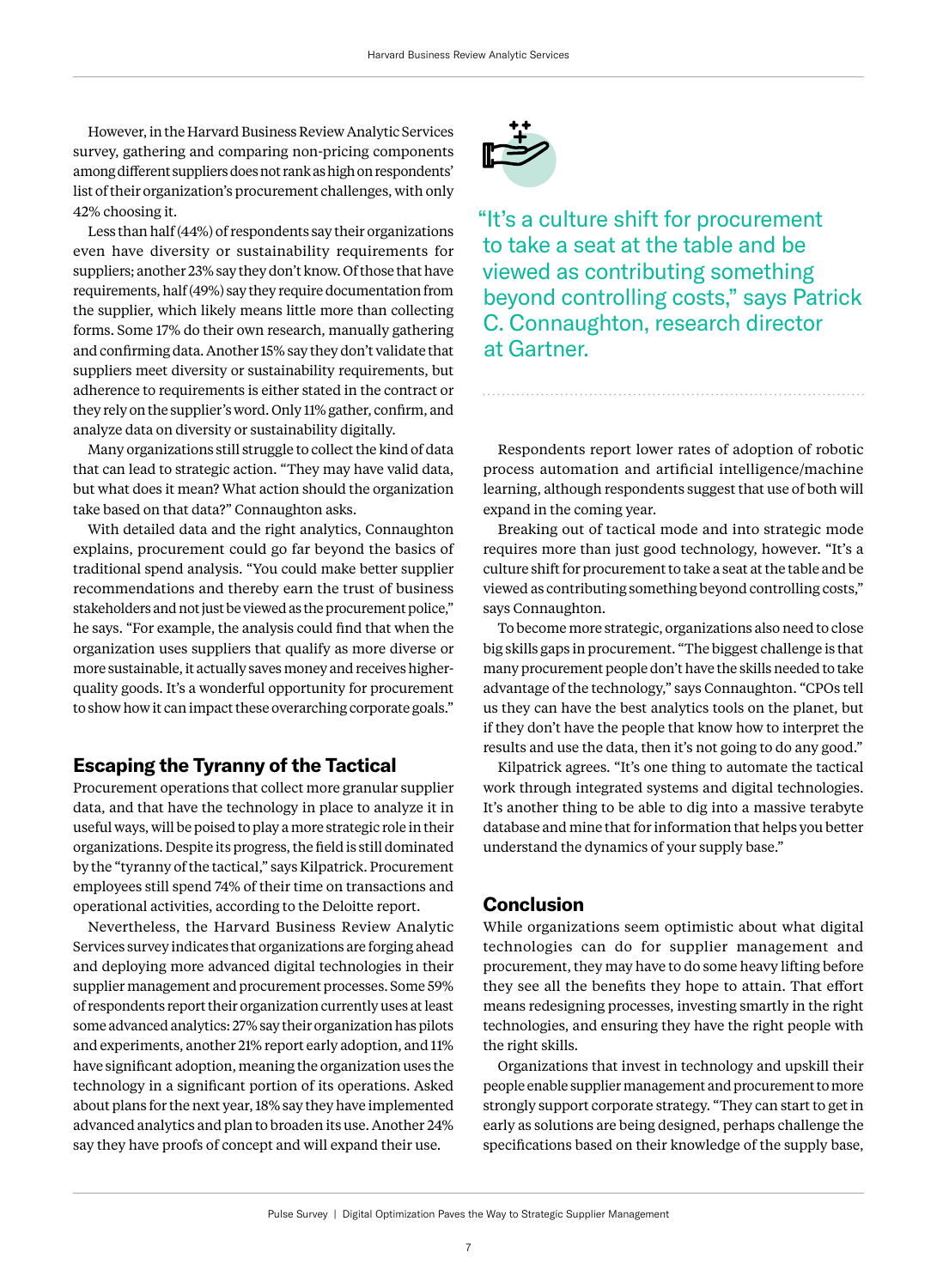However, in the Harvard Business Review Analytic Services survey, gathering and comparing non-pricing components among different suppliers does not rank as high on respondents' list of their organization's procurement challenges, with only 42% choosing it.

Less than half (44%) of respondents say their organizations even have diversity or sustainability requirements for suppliers; another 23% say they don't know. Of those that have requirements, half (49%) say they require documentation from the supplier, which likely means little more than collecting forms. Some 17% do their own research, manually gathering and confirming data. Another 15% say they don't validate that suppliers meet diversity or sustainability requirements, but adherence to requirements is either stated in the contract or they rely on the supplier's word. Only 11% gather, confirm, and analyze data on diversity or sustainability digitally.

Many organizations still struggle to collect the kind of data that can lead to strategic action. "They may have valid data, but what does it mean? What action should the organization take based on that data?" Connaughton asks.

With detailed data and the right analytics, Connaughton explains, procurement could go far beyond the basics of traditional spend analysis. "You could make better supplier recommendations and thereby earn the trust of business stakeholders and not just be viewed as the procurement police," he says. "For example, the analysis could find that when the organization uses suppliers that qualify as more diverse or more sustainable, it actually saves money and receives higherquality goods. It's a wonderful opportunity for procurement to show how it can impact these overarching corporate goals."

# **Escaping the Tyranny of the Tactical**

Procurement operations that collect more granular supplier data, and that have the technology in place to analyze it in useful ways, will be poised to play a more strategic role in their organizations. Despite its progress, the field is still dominated by the "tyranny of the tactical," says Kilpatrick. Procurement employees still spend 74% of their time on transactions and operational activities, according to the Deloitte report.

Nevertheless, the Harvard Business Review Analytic Services survey indicates that organizations are forging ahead and deploying more advanced digital technologies in their supplier management and procurement processes. Some 59% of respondents report their organization currently uses at least some advanced analytics: 27% say their organization has pilots and experiments, another 21% report early adoption, and 11% have significant adoption, meaning the organization uses the technology in a significant portion of its operations. Asked about plans for the next year, 18% say they have implemented advanced analytics and plan to broaden its use. Another 24% say they have proofs of concept and will expand their use.



"It's a culture shift for procurement to take a seat at the table and be viewed as contributing something beyond controlling costs," says Patrick C. Connaughton, research director at Gartner.

Respondents report lower rates of adoption of robotic process automation and artificial intelligence/machine learning, although respondents suggest that use of both will expand in the coming year.

Breaking out of tactical mode and into strategic mode requires more than just good technology, however. "It's a culture shift for procurement to take a seat at the table and be viewed as contributing something beyond controlling costs," says Connaughton.

To become more strategic, organizations also need to close big skills gaps in procurement. "The biggest challenge is that many procurement people don't have the skills needed to take advantage of the technology," says Connaughton. "CPOs tell us they can have the best analytics tools on the planet, but if they don't have the people that know how to interpret the results and use the data, then it's not going to do any good."

Kilpatrick agrees. "It's one thing to automate the tactical work through integrated systems and digital technologies. It's another thing to be able to dig into a massive terabyte database and mine that for information that helps you better understand the dynamics of your supply base."

# **Conclusion**

While organizations seem optimistic about what digital technologies can do for supplier management and procurement, they may have to do some heavy lifting before they see all the benefits they hope to attain. That effort means redesigning processes, investing smartly in the right technologies, and ensuring they have the right people with the right skills.

Organizations that invest in technology and upskill their people enable supplier management and procurement to more strongly support corporate strategy. "They can start to get in early as solutions are being designed, perhaps challenge the specifications based on their knowledge of the supply base,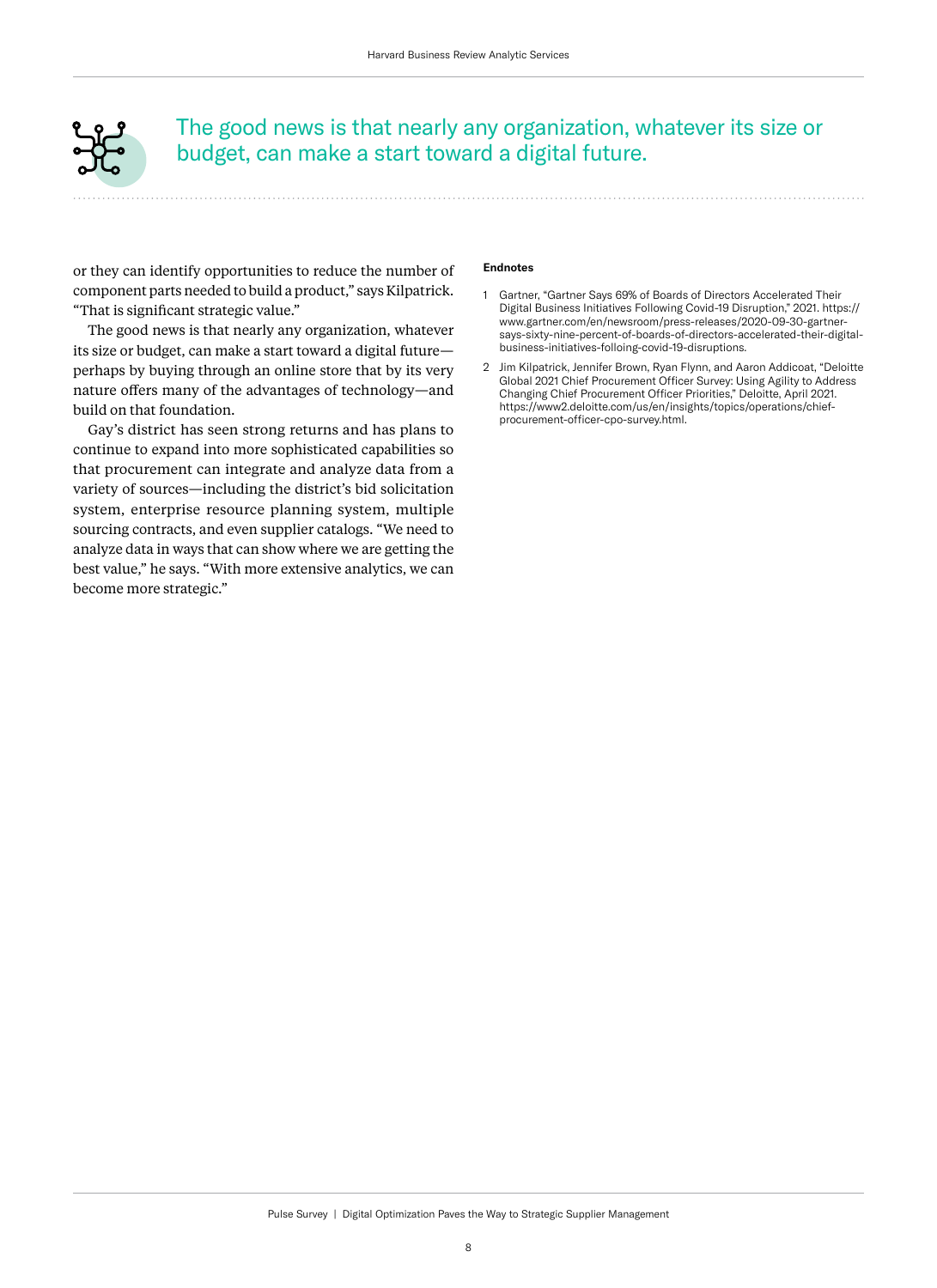<span id="page-9-0"></span>

The good news is that nearly any organization, whatever its size or budget, can make a start toward a digital future.

or they can identify opportunities to reduce the number of component parts needed to build a product," says Kilpatrick. "That is significant strategic value."

The good news is that nearly any organization, whatever its size or budget, can make a start toward a digital future perhaps by buying through an online store that by its very nature offers many of the advantages of technology—and build on that foundation.

Gay's district has seen strong returns and has plans to continue to expand into more sophisticated capabilities so that procurement can integrate and analyze data from a variety of sources—including the district's bid solicitation system, enterprise resource planning system, multiple sourcing contracts, and even supplier catalogs. "We need to analyze data in ways that can show where we are getting the best value," he says. "With more extensive analytics, we can become more strategic."

#### **Endnotes**

- [1](#page-4-0) Gartner, "Gartner Says 69% of Boards of Directors Accelerated Their Digital Business Initiatives Following Covid-19 Disruption," 2021. [https://](https://www.gartner.com/en/newsroom/press-releases/2020-09-30-gartner-says-sixty-nine-percent-of-boards-of-directors-accelerated-their-digital-business-initiatives-folloing-covid-19-disruptions) [www.gartner.com/en/newsroom/press-releases/2020-09-30-gartner](https://www.gartner.com/en/newsroom/press-releases/2020-09-30-gartner-says-sixty-nine-percent-of-boards-of-directors-accelerated-their-digital-business-initiatives-folloing-covid-19-disruptions)[says-sixty-nine-percent-of-boards-of-directors-accelerated-their-digital](https://www.gartner.com/en/newsroom/press-releases/2020-09-30-gartner-says-sixty-nine-percent-of-boards-of-directors-accelerated-their-digital-business-initiatives-folloing-covid-19-disruptions)[business-initiatives-folloing-covid-19-disruptions](https://www.gartner.com/en/newsroom/press-releases/2020-09-30-gartner-says-sixty-nine-percent-of-boards-of-directors-accelerated-their-digital-business-initiatives-folloing-covid-19-disruptions).
- [2](#page-7-0) Jim Kilpatrick, Jennifer Brown, Ryan Flynn, and Aaron Addicoat, "Deloitte Global 2021 Chief Procurement Officer Survey: Using Agility to Address Changing Chief Procurement Officer Priorities," Deloitte, April 2021. [https://www2.deloitte.com/us/en/insights/topics/operations/chief](https://www2.deloitte.com/us/en/insights/topics/operations/chief-procurement-officer-cpo-survey.html)[procurement-officer-cpo-survey.html.](https://www2.deloitte.com/us/en/insights/topics/operations/chief-procurement-officer-cpo-survey.html)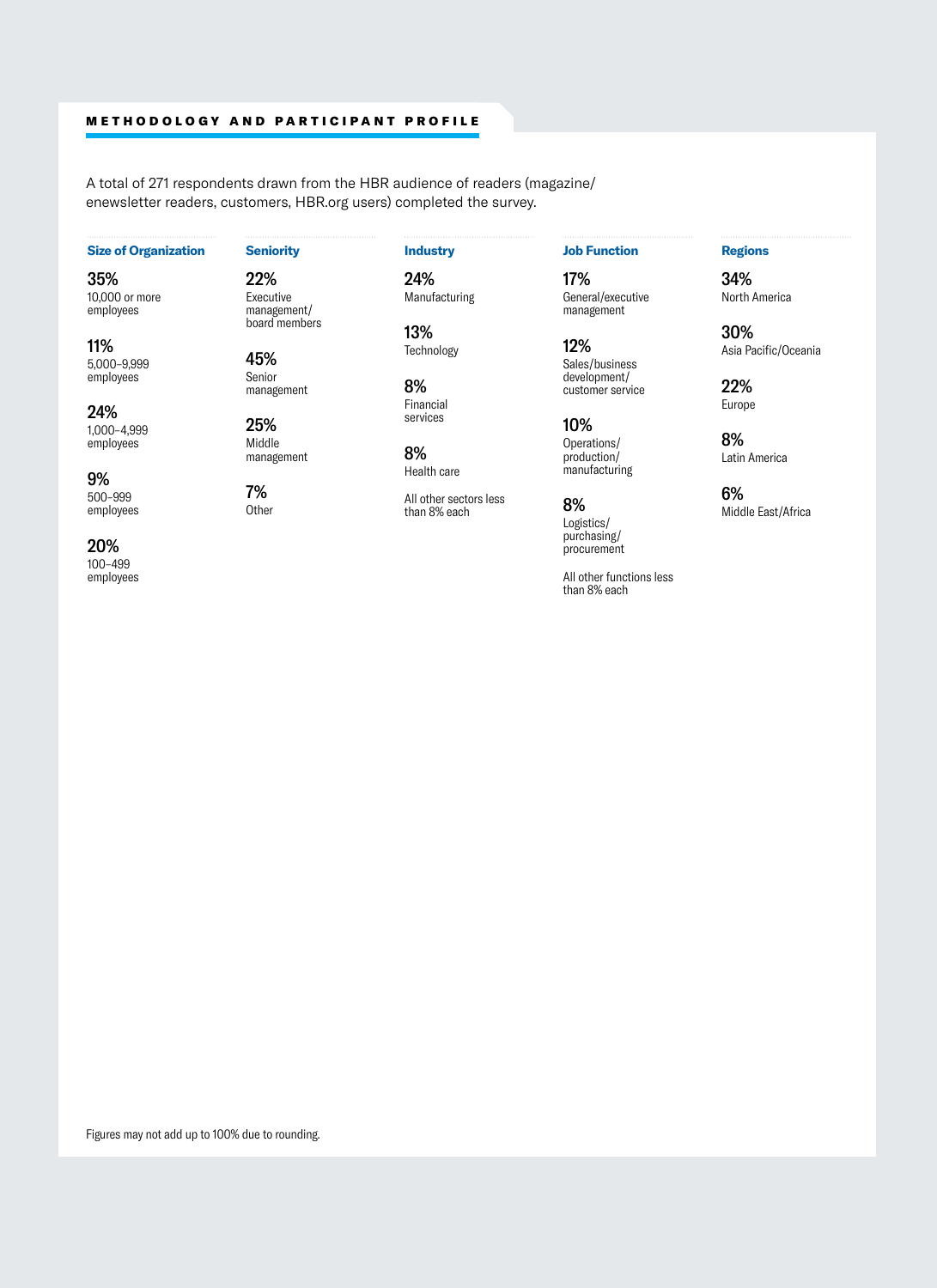# METHODOLOGY AND PARTICIPANT PROFILE

A total of 271 respondents drawn from the HBR audience of readers (magazine/ enewsletter readers, customers, HBR.org users) completed the survey.

### **Size of Organization**

35% 10,000 or more employees

11% 5,000–9,999 employees

24% 1,000–4,999 employees

9% 500–999 employees **Seniority**

#### **Industry**

24% Manufacturing

13% Technology

8% Financial services

8% Health care

All other sectors less than 8% each

# **Job Function**

17% General/executive management

12% Sales/business development/ customer service

10% Operations/ production/ manufacturing

8% Logistics/ purchasing/ procurement

All other functions less than 8% each

# **Regions**

34% North America

30% Asia Pacific/Oceania

22% Europe

8% Latin America

6% Middle East/Africa

20% 100–499 employees 22% Executive management/ board members

Senior management

25% Middle management

**Other** 

45%

7%

Figures may not add up to 100% due to rounding.